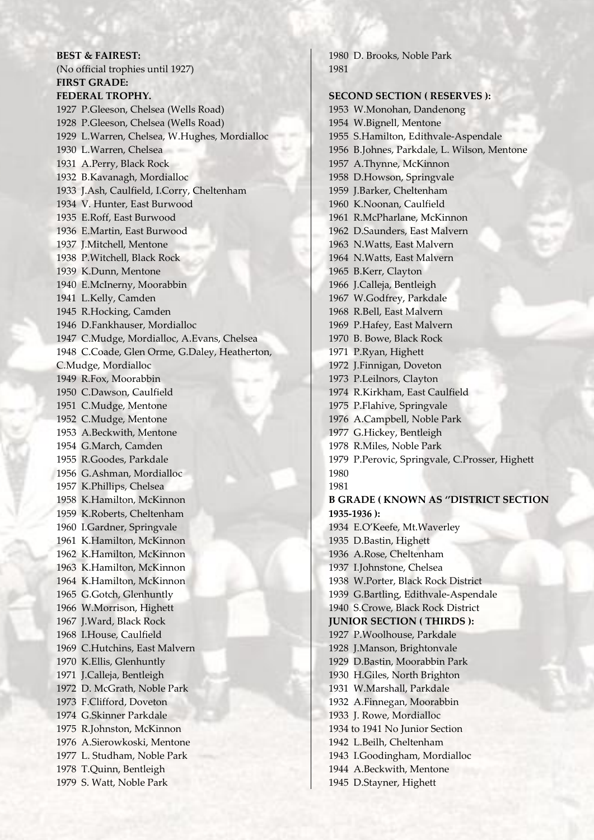## **BEST & FAIREST:** (No official trophies until 1927) **FIRST GRADE: FEDERAL TROPHY.** 1927 P.Gleeson, Chelsea (Wells Road) 1928 P.Gleeson, Chelsea (Wells Road) 1929 L.Warren, Chelsea, W.Hughes, Mordialloc 1930 L.Warren, Chelsea 1931 A.Perry, Black Rock 1932 B.Kavanagh, Mordialloc 1933 J.Ash, Caulfield, I.Corry, Cheltenham 1934 V. Hunter, East Burwood 1935 E.Roff, East Burwood 1936 E.Martin, East Burwood 1937 J.Mitchell, Mentone 1938 P.Witchell, Black Rock 1939 K.Dunn, Mentone 1940 E.McInerny, Moorabbin 1941 L.Kelly, Camden 1945 R.Hocking, Camden 1946 D.Fankhauser, Mordialloc 1947 C.Mudge, Mordialloc, A.Evans, Chelsea 1948 C.Coade, Glen Orme, G.Daley, Heatherton, C.Mudge, Mordialloc 1949 R.Fox, Moorabbin 1950 C.Dawson, Caulfield 1951 C.Mudge, Mentone 1952 C.Mudge, Mentone 1953 A.Beckwith, Mentone 1954 G.March, Camden 1955 R.Goodes, Parkdale 1956 G.Ashman, Mordialloc 1957 K.Phillips, Chelsea 1958 K.Hamilton, McKinnon 1959 K.Roberts, Cheltenham 1960 I.Gardner, Springvale 1961 K.Hamilton, McKinnon 1962 K.Hamilton, McKinnon 1963 K.Hamilton, McKinnon 1964 K.Hamilton, McKinnon 1965 G.Gotch, Glenhuntly 1966 W.Morrison, Highett 1967 J.Ward, Black Rock 1968 I.House, Caulfield 1969 C.Hutchins, East Malvern 1970 K.Ellis, Glenhuntly 1971 J.Calleja, Bentleigh 1972 D. McGrath, Noble Park 1973 F.Clifford, Doveton 1974 G.Skinner Parkdale 1975 R.Johnston, McKinnon 1976 A.Sierowkoski, Mentone 1977 L. Studham, Noble Park 1978 T.Quinn, Bentleigh 1979 S. Watt, Noble Park

1980 D. Brooks, Noble Park 1981

**SECOND SECTION ( RESERVES ):** 1953 W.Monohan, Dandenong 1954 W.Bignell, Mentone 1955 S.Hamilton, Edithvale-Aspendale 1956 B.Johnes, Parkdale, L. Wilson, Mentone 1957 A.Thynne, McKinnon 1958 D.Howson, Springvale 1959 J.Barker, Cheltenham 1960 K.Noonan, Caulfield 1961 R.McPharlane, McKinnon 1962 D.Saunders, East Malvern 1963 N.Watts, East Malvern 1964 N.Watts, East Malvern 1965 B.Kerr, Clayton 1966 J.Calleja, Bentleigh 1967 W.Godfrey, Parkdale 1968 R.Bell, East Malvern 1969 P.Hafey, East Malvern 1970 B. Bowe, Black Rock 1971 P.Ryan, Highett 1972 J.Finnigan, Doveton 1973 P.Leilnors, Clayton 1974 R.Kirkham, East Caulfield 1975 P.Flahive, Springvale 1976 A.Campbell, Noble Park 1977 G.Hickey, Bentleigh 1978 R.Miles, Noble Park 1979 P.Perovic, Springvale, C.Prosser, Highett 1980 1981 **B GRADE ( KNOWN AS ''DISTRICT SECTION 1935-1936 ):** 1934 E.O'Keefe, Mt.Waverley 1935 D.Bastin, Highett 1936 A.Rose, Cheltenham 1937 I.Johnstone, Chelsea 1938 W.Porter, Black Rock District 1939 G.Bartling, Edithvale-Aspendale 1940 S.Crowe, Black Rock District **JUNIOR SECTION ( THIRDS ):** 1927 P.Woolhouse, Parkdale 1928 J.Manson, Brightonvale 1929 D.Bastin, Moorabbin Park 1930 H.Giles, North Brighton 1931 W.Marshall, Parkdale 1932 A.Finnegan, Moorabbin 1933 J. Rowe, Mordialloc 1934 to 1941 No Junior Section 1942 L.Beilh, Cheltenham 1943 I.Goodingham, Mordialloc 1944 A.Beckwith, Mentone 1945 D.Stayner, Highett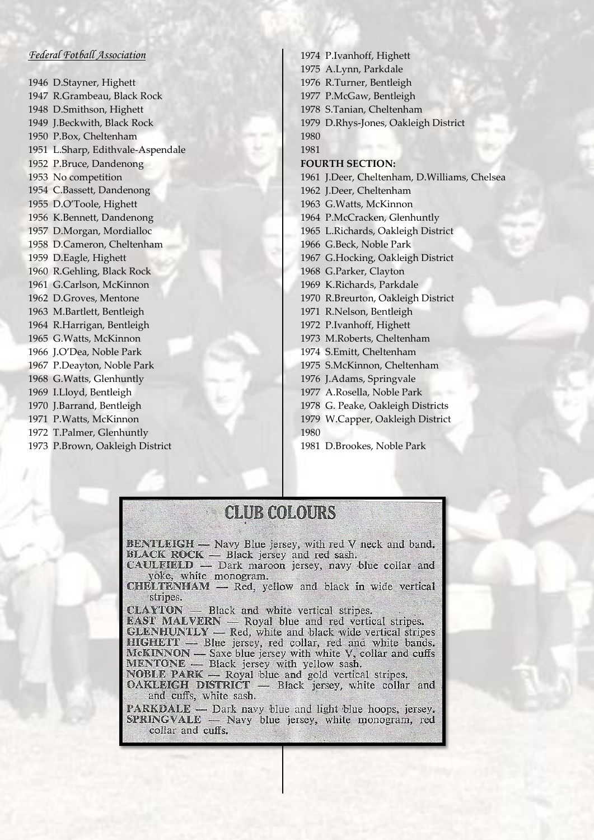## *Federal Fotball Association*

1946 D.Stayner, Highett 1947 R.Grambeau, Black Rock 1948 D.Smithson, Highett 1949 J.Beckwith, Black Rock 1950 P.Box, Cheltenham 1951 L.Sharp, Edithvale-Aspendale 1952 P.Bruce, Dandenong 1953 No competition 1954 C.Bassett, Dandenong 1955 D.O'Toole, Highett 1956 K.Bennett, Dandenong 1957 D.Morgan, Mordialloc 1958 D.Cameron, Cheltenham 1959 D.Eagle, Highett 1960 R.Gehling, Black Rock 1961 G.Carlson, McKinnon 1962 D.Groves, Mentone 1963 M.Bartlett, Bentleigh 1964 R.Harrigan, Bentleigh 1965 G.Watts, McKinnon 1966 J.O'Dea, Noble Park 1967 P.Deayton, Noble Park 1968 G.Watts, Glenhuntly 1969 I.Lloyd, Bentleigh 1970 J.Barrand, Bentleigh 1971 P.Watts, McKinnon 1972 T.Palmer, Glenhuntly 1973 P.Brown, Oakleigh District

1974 P.Ivanhoff, Highett 1975 A.Lynn, Parkdale 1976 R.Turner, Bentleigh 1977 P.McGaw, Bentleigh 1978 S.Tanian, Cheltenham 1979 D.Rhys-Jones, Oakleigh District 1980 1981 **FOURTH SECTION:** 1961 J.Deer, Cheltenham, D.Williams, Chelsea 1962 J.Deer, Cheltenham 1963 G.Watts, McKinnon 1964 P.McCracken, Glenhuntly 1965 L.Richards, Oakleigh District 1966 G.Beck, Noble Park 1967 G.Hocking, Oakleigh District 1968 G.Parker, Clayton 1969 K.Richards, Parkdale 1970 R.Breurton, Oakleigh District 1971 R.Nelson, Bentleigh 1972 P.Ivanhoff, Highett 1973 M.Roberts, Cheltenham 1974 S.Emitt, Cheltenham 1975 S.McKinnon, Cheltenham 1976 J.Adams, Springvale 1977 A.Rosella, Noble Park 1978 G. Peake, Oakleigh Districts 1979 W.Capper, Oakleigh District 1980 1981 D.Brookes, Noble Park

## **CLUB COLOURS**

**BENTLEIGH** - Navy Blue jersey, with red V neck and band. BLACK ROCK — Black jersey and red sash.<br>CAULFIELD — Dark maroon jersey, navy blue collar and

yoke, white monogram.

**CHELTENHAM** - Red, yellow and black in wide vertical stripes.

**CLAYTON** — Black and white vertical stripes.

**EAST MALVERN** — Royal blue and red vertical stripes.<br> **GLENHUNTLY** — Red, white and black wide vertical stripes **HIGHEIT** — Blue jersey, red collar, red and white bands.<br> **MCHEIT** — Blue jersey, red collar, red and white bands.<br> **MCHEINNON** — Saxe blue jersey with white V, collar and cuffs<br> **MENTONE** — Black jersey with yellow sash.

NOBLE PARK - Royal blue and gold vertical stripes. OAKLEIGH DISTRICT -- Black jersey, white collar and and cuffs, white sash.

**PARKDALE** — Dark navy blue and light blue hoops, jersey. SPRINGVALE - Navy blue jersey, white monogram, red collar and cuffs.